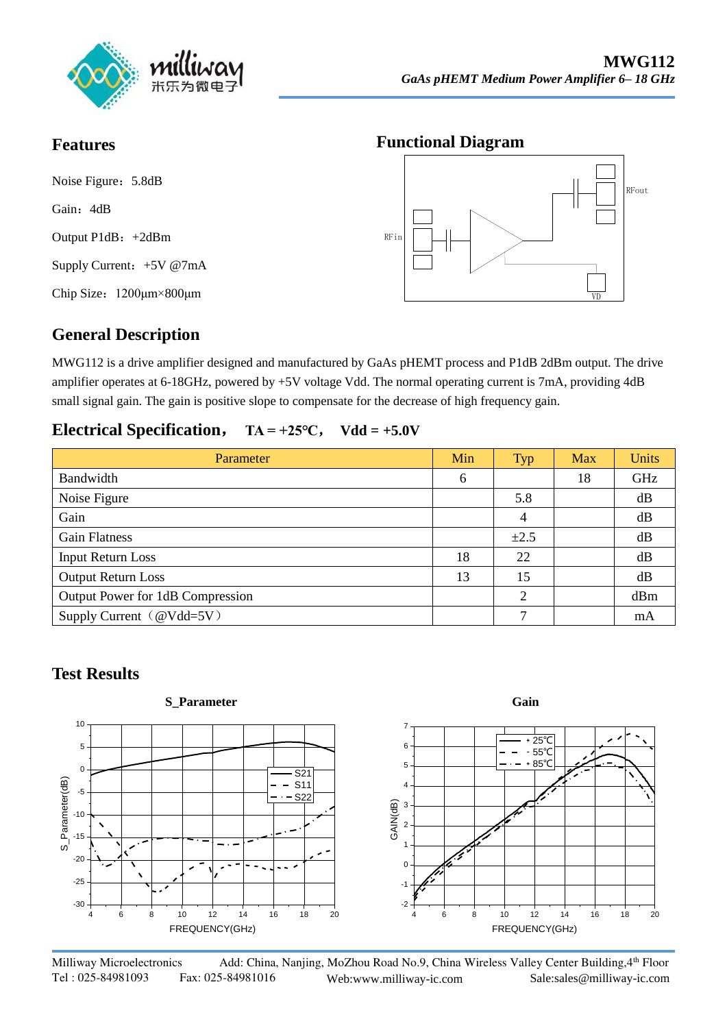

### **Features**

Noise Figure: 5.8dB Gain: 4dB Output P1dB:+2dBm Supply Current: +5V @7mA Chip Size:1200μm×800μm

### **Functional Diagram**



### **General Description**

MWG112 is a drive amplifier designed and manufactured by GaAs pHEMT process and P1dB 2dBm output. The drive amplifier operates at 6-18GHz, powered by +5V voltage Vdd. The normal operating current is 7mA, providing 4dB small signal gain. The gain is positive slope to compensate for the decrease of high frequency gain.

#### **Electrical Specification**, **TA = +25℃**, **Vdd = +5.0V**

| Parameter                        | Min | Typ            | <b>Max</b> | <b>Units</b> |
|----------------------------------|-----|----------------|------------|--------------|
| Bandwidth                        | 6   |                | 18         | GHz          |
| Noise Figure                     |     | 5.8            |            | dB           |
| Gain                             |     | $\overline{4}$ |            | dB           |
| <b>Gain Flatness</b>             |     | $\pm 2.5$      |            | dB           |
| <b>Input Return Loss</b>         | 18  | 22             |            | dB           |
| <b>Output Return Loss</b>        | 13  | 15             |            | dB           |
| Output Power for 1dB Compression |     | $\overline{2}$ |            | dBm          |
| Supply Current (@Vdd=5V)         |     |                |            | mA           |

### **Test Results**



Milliway Microelectronics Add: China, Nanjing, MoZhou Road No.9, China Wireless Valley Center Building, 4th Floor Tel : 025-84981093 Fax: 025-84981016 Web:www.milliway-ic.com Sale:sales@milliway-ic.com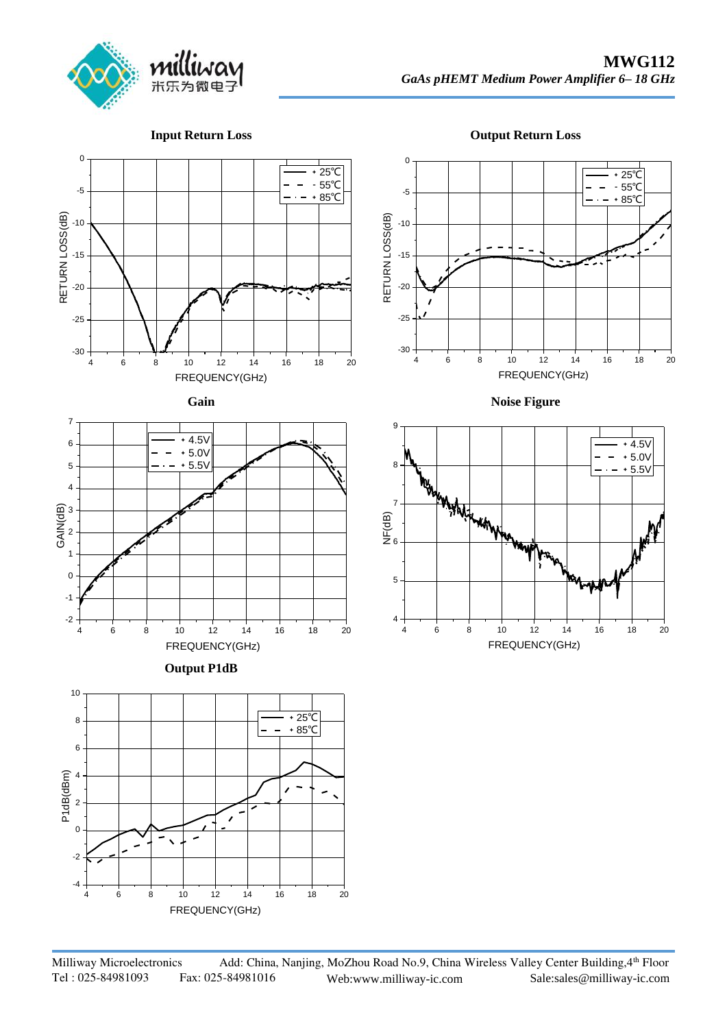

**Input Return Loss**





4 6 8 10 12 14 16 18 20 -30 -25 -20 -15 -10 -5  $0$   $\rightarrow$ RETURN LOSS(dB) FREQUENCY(GHz) ﹢25℃ ﹣55℃ + 85℃